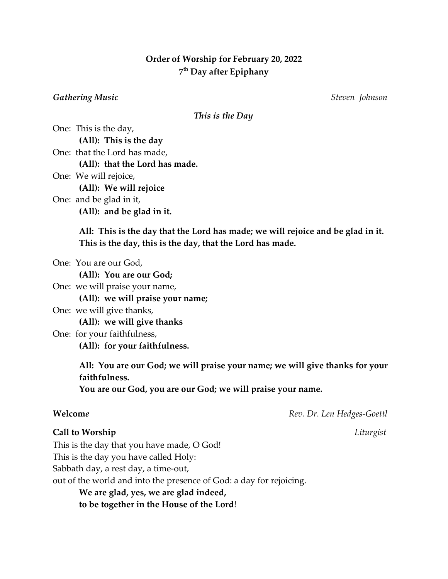## **Order of Worship for February 20, 2022 7 th Day after Epiphany**

#### *Gathering Music Steven Johnson*

*This is the Day*

One: This is the day, **(All): This is the day** One: that the Lord has made, **(All): that the Lord has made.**

One: We will rejoice,

**(All): We will rejoice**

One: and be glad in it,

**(All): and be glad in it.**

**All: This is the day that the Lord has made; we will rejoice and be glad in it. This is the day, this is the day, that the Lord has made.**

One: You are our God,

**(All): You are our God;**

One: we will praise your name,

**(All): we will praise your name;**

One: we will give thanks,

**(All): we will give thanks**

One: for your faithfulness, **(All): for your faithfulness.**

> **All: You are our God; we will praise your name; we will give thanks for your faithfulness.**

**You are our God, you are our God; we will praise your name.**

**Welcom***e Rev. Dr. Len Hedges-Goettl*

**Call to Worship** *Liturgist*

This is the day that you have made, O God! This is the day you have called Holy: Sabbath day, a rest day, a time-out, out of the world and into the presence of God: a day for rejoicing. **We are glad, yes, we are glad indeed, to be together in the House of the Lord**!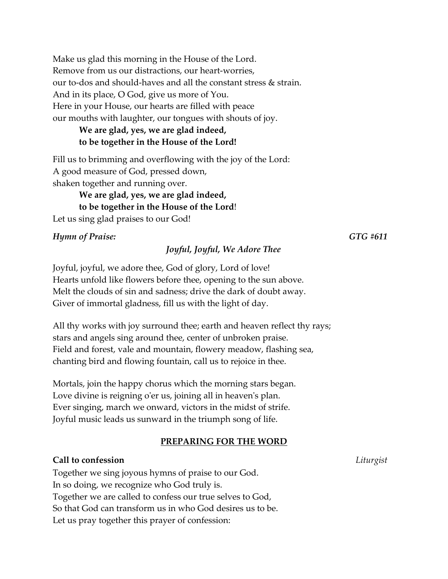Make us glad this morning in the House of the Lord. Remove from us our distractions, our heart-worries, our to-dos and should-haves and all the constant stress & strain. And in its place, O God, give us more of You. Here in your House, our hearts are filled with peace our mouths with laughter, our tongues with shouts of joy.

## **We are glad, yes, we are glad indeed, to be together in the House of the Lord!**

Fill us to brimming and overflowing with the joy of the Lord: A good measure of God, pressed down, shaken together and running over.

**We are glad, yes, we are glad indeed, to be together in the House of the Lord**! Let us sing glad praises to our God!

# *Hymn of Praise: GTG #611*

# *Joyful, Joyful, We Adore Thee*

Joyful, joyful, we adore thee, God of glory, Lord of love! Hearts unfold like flowers before thee, opening to the sun above. Melt the clouds of sin and sadness; drive the dark of doubt away. Giver of immortal gladness, fill us with the light of day.

All thy works with joy surround thee; earth and heaven reflect thy rays; stars and angels sing around thee, center of unbroken praise. Field and forest, vale and mountain, flowery meadow, flashing sea, chanting bird and flowing fountain, call us to rejoice in thee.

Mortals, join the happy chorus which the morning stars began. Love divine is reigning o'er us, joining all in heaven's plan. Ever singing, march we onward, victors in the midst of strife. Joyful music leads us sunward in the triumph song of life.

# **PREPARING FOR THE WORD**

# **Call to confession** *Liturgist*

Together we sing joyous hymns of praise to our God. In so doing, we recognize who God truly is. Together we are called to confess our true selves to God, So that God can transform us in who God desires us to be. Let us pray together this prayer of confession: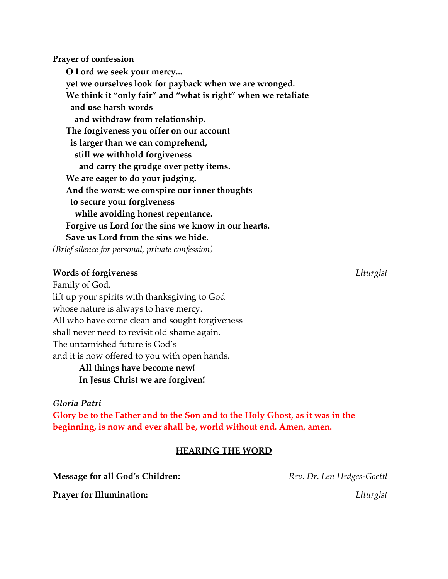**Prayer of confession O Lord we seek your mercy... yet we ourselves look for payback when we are wronged. We think it "only fair" and "what is right" when we retaliate and use harsh words and withdraw from relationship. The forgiveness you offer on our account is larger than we can comprehend, still we withhold forgiveness and carry the grudge over petty items. We are eager to do your judging. And the worst: we conspire our inner thoughts to secure your forgiveness while avoiding honest repentance. Forgive us Lord for the sins we know in our hearts. Save us Lord from the sins we hide.** *(Brief silence for personal, private confession)*

### **Words of forgiveness** *Liturgist*

Family of God, lift up your spirits with thanksgiving to God whose nature is always to have mercy. All who have come clean and sought forgiveness shall never need to revisit old shame again. The untarnished future is God's and it is now offered to you with open hands. **All things have become new!**

**In Jesus Christ we are forgiven!**

#### *Gloria Patri*

**Glory be to the Father and to the Son and to the Holy Ghost, as it was in the beginning, is now and ever shall be, world without end. Amen, amen.**

### **HEARING THE WORD**

**Message for all God's Children:** *Rev. Dr. Len Hedges-Goettl*

**Prayer for Illumination:** *Liturgist*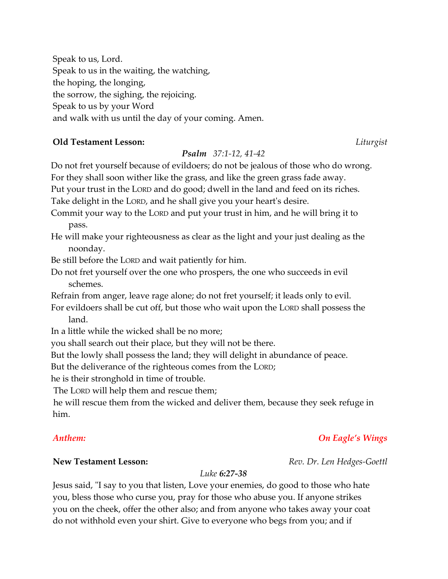Speak to us, Lord. Speak to us in the waiting, the watching, the hoping, the longing, the sorrow, the sighing, the rejoicing. Speak to us by your Word and walk with us until the day of your coming. Amen.

## **Old Testament Lesson:** *Liturgist*

### *Psalm 37:1-12, 41-42*

Do not fret yourself because of evildoers; do not be jealous of those who do wrong. For they shall soon wither like the grass, and like the green grass fade away. Put your trust in the LORD and do good; dwell in the land and feed on its riches.

Take delight in the LORD, and he shall give you your heart's desire.

- Commit your way to the LORD and put your trust in him, and he will bring it to pass.
- He will make your righteousness as clear as the light and your just dealing as the noonday.

Be still before the LORD and wait patiently for him.

Do not fret yourself over the one who prospers, the one who succeeds in evil schemes.

Refrain from anger, leave rage alone; do not fret yourself; it leads only to evil.

For evildoers shall be cut off, but those who wait upon the LORD shall possess the land.

In a little while the wicked shall be no more;

you shall search out their place, but they will not be there.

But the lowly shall possess the land; they will delight in abundance of peace.

But the deliverance of the righteous comes from the LORD;

he is their stronghold in time of trouble.

The LORD will help them and rescue them;

he will rescue them from the wicked and deliver them, because they seek refuge in him.

### *Anthem: On Eagle's Wings*

**New Testament Lesson:** *Rev. Dr. Len Hedges-Goettl* 

## *Luke 6:27-38*

Jesus said, "I say to you that listen, Love your enemies, do good to those who hate you, bless those who curse you, pray for those who abuse you. If anyone strikes you on the cheek, offer the other also; and from anyone who takes away your coat do not withhold even your shirt. Give to everyone who begs from you; and if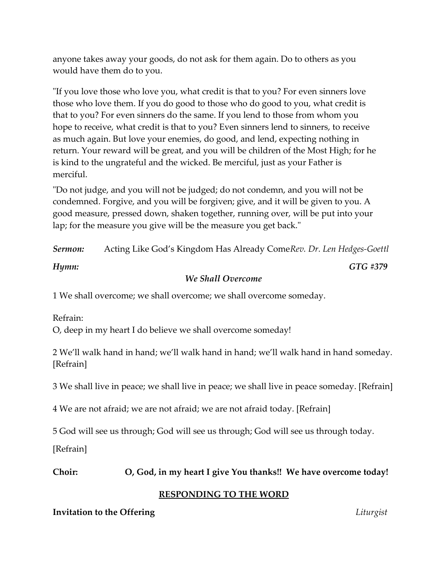anyone takes away your goods, do not ask for them again. Do to others as you would have them do to you.

"If you love those who love you, what credit is that to you? For even sinners love those who love them. If you do good to those who do good to you, what credit is that to you? For even sinners do the same. If you lend to those from whom you hope to receive, what credit is that to you? Even sinners lend to sinners, to receive as much again. But love your enemies, do good, and lend, expecting nothing in return. Your reward will be great, and you will be children of the Most High; for he is kind to the ungrateful and the wicked. Be merciful, just as your Father is merciful.

"Do not judge, and you will not be judged; do not condemn, and you will not be condemned. Forgive, and you will be forgiven; give, and it will be given to you. A good measure, pressed down, shaken together, running over, will be put into your lap; for the measure you give will be the measure you get back."

*Sermon:* Acting Like God's Kingdom Has Already Come*Rev. Dr. Len Hedges-Goettl*

*Hymn: GTG #379*

## *We Shall Overcome*

1 We shall overcome; we shall overcome; we shall overcome someday.

Refrain:

O, deep in my heart I do believe we shall overcome someday!

2 We'll walk hand in hand; we'll walk hand in hand; we'll walk hand in hand someday. [Refrain]

3 We shall live in peace; we shall live in peace; we shall live in peace someday. [Refrain]

4 We are not afraid; we are not afraid; we are not afraid today. [Refrain]

5 God will see us through; God will see us through; God will see us through today.

[Refrain]

# **Choir: O, God, in my heart I give You thanks!! We have overcome today!**

# **RESPONDING TO THE WORD**

## **Invitation to the Offering** *Liturgist*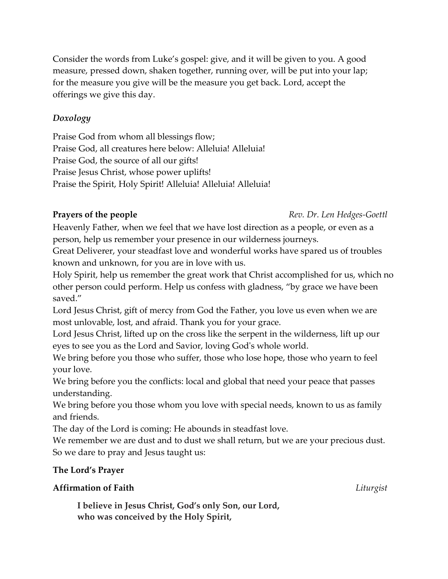Consider the words from Luke's gospel: give, and it will be given to you. A good measure, pressed down, shaken together, running over, will be put into your lap; for the measure you give will be the measure you get back. Lord, accept the offerings we give this day.

## *Doxology*

Praise God from whom all blessings flow; Praise God, all creatures here below: Alleluia! Alleluia! Praise God, the source of all our gifts! Praise Jesus Christ, whose power uplifts! Praise the Spirit, Holy Spirit! Alleluia! Alleluia! Alleluia!

#### **Prayers of the people** *Rev. Dr. Len Hedges-Goettl*

Heavenly Father, when we feel that we have lost direction as a people, or even as a person, help us remember your presence in our wilderness journeys.

Great Deliverer, your steadfast love and wonderful works have spared us of troubles known and unknown, for you are in love with us.

Holy Spirit, help us remember the great work that Christ accomplished for us, which no other person could perform. Help us confess with gladness, "by grace we have been saved."

Lord Jesus Christ, gift of mercy from God the Father, you love us even when we are most unlovable, lost, and afraid. Thank you for your grace.

Lord Jesus Christ, lifted up on the cross like the serpent in the wilderness, lift up our eyes to see you as the Lord and Savior, loving God's whole world.

We bring before you those who suffer, those who lose hope, those who yearn to feel your love.

We bring before you the conflicts: local and global that need your peace that passes understanding.

We bring before you those whom you love with special needs, known to us as family and friends.

The day of the Lord is coming: He abounds in steadfast love.

We remember we are dust and to dust we shall return, but we are your precious dust. So we dare to pray and Jesus taught us:

### **The Lord's Prayer**

### **Affirmation of Faith** *Liturgist*

**I believe in Jesus Christ, God's only Son, our Lord, who was conceived by the Holy Spirit,**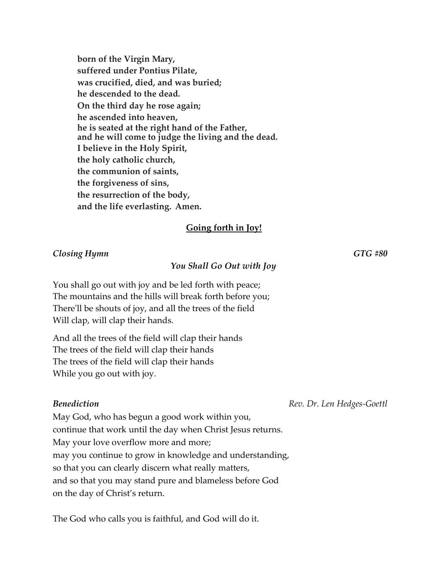**born of the Virgin Mary, suffered under Pontius Pilate, was crucified, died, and was buried; he descended to the dead. On the third day he rose again; he ascended into heaven, he is seated at the right hand of the Father, and he will come to judge the living and the dead. I believe in the Holy Spirit, the holy catholic church, the communion of saints, the forgiveness of sins, the resurrection of the body, and the life everlasting. Amen.**

### **Going forth in Joy!**

#### *Closing Hymn GTG #80*

#### *You Shall Go Out with Joy*

You shall go out with joy and be led forth with peace; The mountains and the hills will break forth before you; There'll be shouts of joy, and all the trees of the field Will clap, will clap their hands.

And all the trees of the field will clap their hands The trees of the field will clap their hands The trees of the field will clap their hands While you go out with joy.

May God, who has begun a good work within you, continue that work until the day when Christ Jesus returns. May your love overflow more and more; may you continue to grow in knowledge and understanding, so that you can clearly discern what really matters, and so that you may stand pure and blameless before God on the day of Christ's return.

The God who calls you is faithful, and God will do it.

*Benediction Rev. Dr. Len Hedges-Goettl*